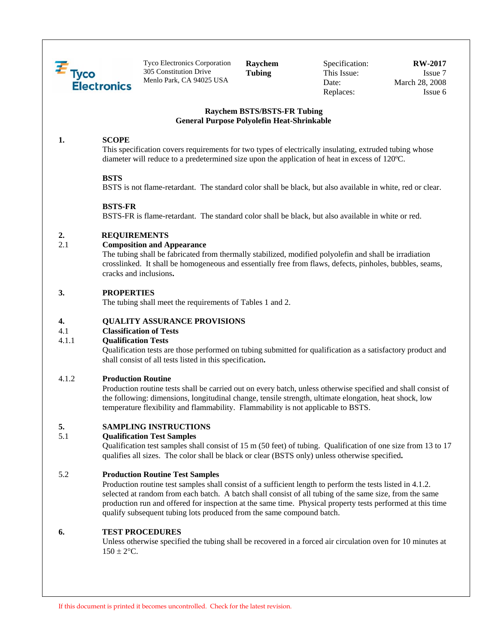

Tyco Electronics Corporation 305 Constitution Drive Menlo Park, CA 94025 USA

**Raychem Tubing** 

Specification: This Issue: Date: Replaces:

#### **RW-2017**  Issue 7 March 28, 2008 Issue 6

## **Raychem BSTS/BSTS-FR Tubing General Purpose Polyolefin Heat-Shrinkable**

# **1. SCOPE**

This specification covers requirements for two types of electrically insulating, extruded tubing whose diameter will reduce to a predetermined size upon the application of heat in excess of 120ºC.

# **BSTS**

BSTS is not flame-retardant. The standard color shall be black, but also available in white, red or clear.

# **BSTS-FR**

BSTS-FR is flame-retardant. The standard color shall be black, but also available in white or red.

# **2. REQUIREMENTS**

## 2.1 **Composition and Appearance**

The tubing shall be fabricated from thermally stabilized, modified polyolefin and shall be irradiation crosslinked. It shall be homogeneous and essentially free from flaws, defects, pinholes, bubbles, seams, cracks and inclusions**.** 

## **3. PROPERTIES**

The tubing shall meet the requirements of Tables 1 and 2.

# **4. QUALITY ASSURANCE PROVISIONS**

# 4.1 **Classification of Tests**

### 4.1.1 **Qualification Tests**

Qualification tests are those performed on tubing submitted for qualification as a satisfactory product and shall consist of all tests listed in this specification**.** 

# 4.1.2 **Production Routine**

Production routine tests shall be carried out on every batch, unless otherwise specified and shall consist of the following: dimensions, longitudinal change, tensile strength, ultimate elongation, heat shock, low temperature flexibility and flammability. Flammability is not applicable to BSTS.

# **5. SAMPLING INSTRUCTIONS**

#### 5.1 **Qualification Test Samples**

Qualification test samples shall consist of 15 m (50 feet) of tubing. Qualification of one size from 13 to 17 qualifies all sizes. The color shall be black or clear (BSTS only) unless otherwise specified**.** 

# 5.2 **Production Routine Test Samples**

 Production routine test samples shall consist of a sufficient length to perform the tests listed in 4.1.2. selected at random from each batch. A batch shall consist of all tubing of the same size, from the same production run and offered for inspection at the same time. Physical property tests performed at this time qualify subsequent tubing lots produced from the same compound batch.

#### **6. TEST PROCEDURES**

 Unless otherwise specified the tubing shall be recovered in a forced air circulation oven for 10 minutes at  $150 \pm 2$ °C.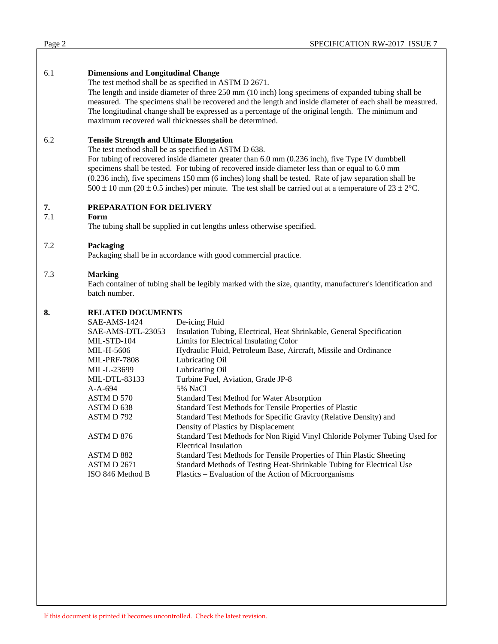| Page 2 | SPECIFICATION RW-2017 ISSUE 7 |
|--------|-------------------------------|
|        |                               |

# 6.1 **Dimensions and Longitudinal Change**

The test method shall be as specified in ASTM D 2671.

The length and inside diameter of three 250 mm (10 inch) long specimens of expanded tubing shall be measured. The specimens shall be recovered and the length and inside diameter of each shall be measured. The longitudinal change shall be expressed as a percentage of the original length. The minimum and maximum recovered wall thicknesses shall be determined.

# 6.2 **Tensile Strength and Ultimate Elongation**

The test method shall be as specified in ASTM D 638.

For tubing of recovered inside diameter greater than 6.0 mm (0.236 inch), five Type IV dumbbell specimens shall be tested. For tubing of recovered inside diameter less than or equal to 6.0 mm (0.236 inch), five specimens 150 mm (6 inches) long shall be tested. Rate of jaw separation shall be 500  $\pm$  10 mm (20  $\pm$  0.5 inches) per minute. The test shall be carried out at a temperature of 23  $\pm$  2°C.

# **7. PREPARATION FOR DELIVERY**<br>**7.1** Form

#### 7.1 **Form**

The tubing shall be supplied in cut lengths unless otherwise specified.

## 7.2 **Packaging**

Packaging shall be in accordance with good commercial practice.

## 7.3 **Marking**

Each container of tubing shall be legibly marked with the size, quantity, manufacturer's identification and batch number.

### **8. RELATED DOCUMENTS**

| SAE-AMS-1424        | De-icing Fluid                                                             |  |  |
|---------------------|----------------------------------------------------------------------------|--|--|
| SAE-AMS-DTL-23053   | Insulation Tubing, Electrical, Heat Shrinkable, General Specification      |  |  |
| MIL-STD-104         | Limits for Electrical Insulating Color                                     |  |  |
| MIL-H-5606          | Hydraulic Fluid, Petroleum Base, Aircraft, Missile and Ordinance           |  |  |
| <b>MIL-PRF-7808</b> | Lubricating Oil                                                            |  |  |
| MIL-L-23699         | Lubricating Oil                                                            |  |  |
| MIL-DTL-83133       | Turbine Fuel, Aviation, Grade JP-8                                         |  |  |
| $A-A-694$           | 5% NaCl                                                                    |  |  |
| ASTM D 570          | Standard Test Method for Water Absorption                                  |  |  |
| ASTM D 638          | Standard Test Methods for Tensile Properties of Plastic                    |  |  |
| ASTM D 792          | Standard Test Methods for Specific Gravity (Relative Density) and          |  |  |
|                     | Density of Plastics by Displacement                                        |  |  |
| ASTM D 876          | Standard Test Methods for Non Rigid Vinyl Chloride Polymer Tubing Used for |  |  |
|                     | <b>Electrical Insulation</b>                                               |  |  |
| ASTM D 882          | Standard Test Methods for Tensile Properties of Thin Plastic Sheeting      |  |  |
| <b>ASTM D 2671</b>  | Standard Methods of Testing Heat-Shrinkable Tubing for Electrical Use      |  |  |
| ISO 846 Method B    | Plastics – Evaluation of the Action of Microorganisms                      |  |  |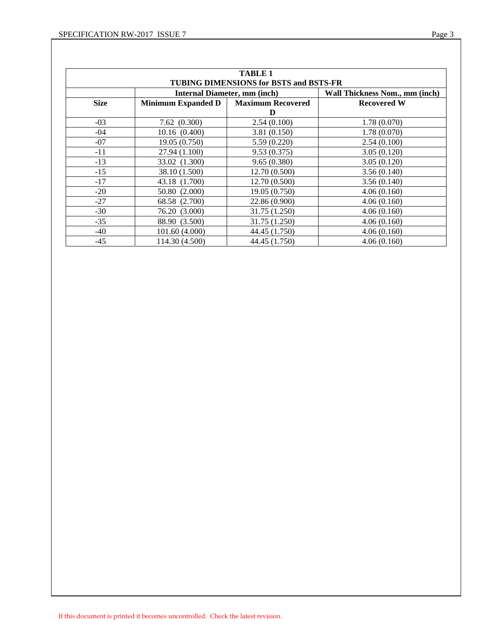| <b>TABLE 1</b><br>TUBING DIMENSIONS for BSTS and BSTS-FR |                                     |                                |                    |  |  |  |  |
|----------------------------------------------------------|-------------------------------------|--------------------------------|--------------------|--|--|--|--|
|                                                          | <b>Internal Diameter, mm (inch)</b> | Wall Thickness Nom., mm (inch) |                    |  |  |  |  |
| <b>Size</b>                                              | <b>Minimum Expanded D</b>           | <b>Maximum Recovered</b>       | <b>Recovered W</b> |  |  |  |  |
|                                                          |                                     | D                              |                    |  |  |  |  |
| $-03$                                                    | 7.62(0.300)                         | 2.54(0.100)                    | 1.78(0.070)        |  |  |  |  |
| $-04$                                                    | 10.16(0.400)                        | 3.81(0.150)                    | 1.78(0.070)        |  |  |  |  |
| $-07$                                                    | 19.05(0.750)                        | 5.59(0.220)                    | 2.54(0.100)        |  |  |  |  |
| $-11$                                                    | 27.94 (1.100)                       | 9.53(0.375)                    | 3.05(0.120)        |  |  |  |  |
| $-13$                                                    | 33.02 (1.300)                       | 9.65(0.380)                    | 3.05(0.120)        |  |  |  |  |
| $-15$                                                    | 38.10 (1.500)                       | 12.70 (0.500)                  | 3.56(0.140)        |  |  |  |  |
| $-17$                                                    | 43.18 (1.700)                       | 12.70(0.500)                   | 3.56(0.140)        |  |  |  |  |
| $-20$                                                    | 50.80 (2.000)                       | 19.05 (0.750)                  | 4.06(0.160)        |  |  |  |  |
| $-27$                                                    | 68.58 (2.700)                       | 22.86 (0.900)                  | 4.06(0.160)        |  |  |  |  |
| $-30$                                                    | 76.20 (3.000)                       | 31.75 (1.250)                  | 4.06(0.160)        |  |  |  |  |
| $-35$                                                    | 88.90 (3.500)                       | 31.75 (1.250)                  | 4.06(0.160)        |  |  |  |  |
| -40                                                      | 101.60 (4.000)                      | 44.45 (1.750)                  | 4.06(0.160)        |  |  |  |  |
| $-45$                                                    | 114.30 (4.500)                      | 44.45 (1.750)                  | 4.06(0.160)        |  |  |  |  |